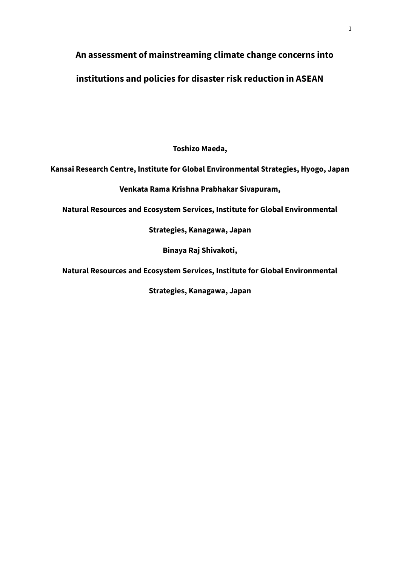# **An assessment of mainstreaming climate change concerns into**

# **institutions and policies for disaster risk reduction in ASEAN**

**Toshizo Maeda,** 

### **Kansai Research Centre, Institute for Global Environmental Strategies, Hyogo, Japan**

**Venkata Rama Krishna Prabhakar Sivapuram,**

**Natural Resources and Ecosystem Services, Institute for Global Environmental** 

**Strategies, Kanagawa, Japan**

**Binaya Raj Shivakoti,** 

**Natural Resources and Ecosystem Services, Institute for Global Environmental** 

**Strategies, Kanagawa, Japan**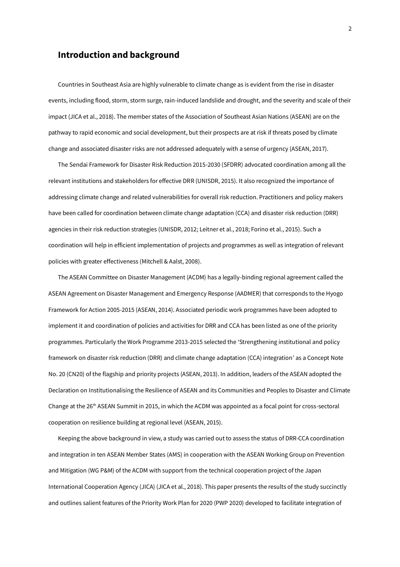#### **Introduction and background**

Countries in Southeast Asia are highly vulnerable to climate change as is evident from the rise in disaster events, including flood, storm, storm surge, rain-induced landslide and drought, and the severity and scale of their impact (JICA et al., 2018). The member states of the Association of Southeast Asian Nations (ASEAN) are on the pathway to rapid economic and social development, but their prospects are at risk if threats posed by climate change and associated disaster risks are not addressed adequately with a sense of urgency (ASEAN, 2017).

The Sendai Framework for Disaster Risk Reduction 2015-2030 (SFDRR) advocated coordination among all the relevant institutions and stakeholders for effective DRR (UNISDR, 2015). It also recognized the importance of addressing climate change and related vulnerabilities for overall risk reduction. Practitioners and policy makers have been called for coordination between climate change adaptation (CCA) and disaster risk reduction (DRR) agencies in their risk reduction strategies (UNISDR, 2012; Leitner et al., 2018; Forino et al., 2015). Such a coordination will help in efficient implementation of projects and programmes as well as integration of relevant policies with greater effectiveness (Mitchell & Aalst, 2008).

The ASEAN Committee on Disaster Management (ACDM) has a legally-binding regional agreement called the ASEAN Agreement on Disaster Management and Emergency Response (AADMER) that corresponds to the Hyogo Framework for Action 2005-2015 (ASEAN, 2014). Associated periodic work programmes have been adopted to implement it and coordination of policies and activities for DRR and CCA has been listed as one of the priority programmes. Particularly the Work Programme 2013-2015 selected the 'Strengthening institutional and policy framework on disaster risk reduction (DRR) and climate change adaptation (CCA) integration' as a Concept Note No. 20 (CN20) of the flagship and priority projects (ASEAN, 2013). In addition, leaders of the ASEAN adopted the Declaration on Institutionalising the Resilience of ASEAN and its Communities and Peoples to Disaster and Climate Change at the 26<sup>th</sup> ASEAN Summit in 2015, in which the ACDM was appointed as a focal point for cross-sectoral cooperation on resilience building at regional level (ASEAN, 2015).

Keeping the above background in view, a study was carried out to assess the status of DRR-CCA coordination and integration in ten ASEAN Member States (AMS) in cooperation with the ASEAN Working Group on Prevention and Mitigation (WG P&M) of the ACDM with support from the technical cooperation project of the Japan International Cooperation Agency (JICA) (JICA et al., 2018). This paper presents the results of the study succinctly and outlines salient features of the Priority Work Plan for 2020 (PWP 2020) developed to facilitate integration of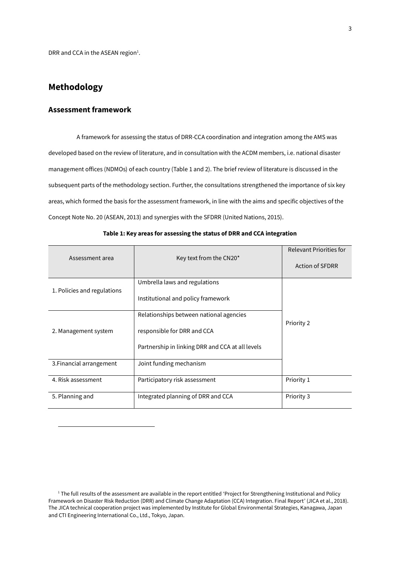DRR and CCA in the ASEAN region $<sup>1</sup>$ .</sup>

### **Methodology**

 $\overline{a}$ 

#### **Assessment framework**

A framework for assessing the status of DRR-CCA coordination and integration among the AMS was developed based on the review of literature, and in consultation with the ACDM members, i.e. national disaster management offices (NDMOs) of each country (Table 1 and 2). The brief review of literature is discussed in the subsequent parts of the methodology section. Further, the consultations strengthened the importance of six key areas, which formed the basis for the assessment framework, in line with the aims and specific objectives of the Concept Note No. 20 (ASEAN, 2013) and synergies with the SFDRR (United Nations, 2015).

| Assessment area             | <b>Relevant Priorities for</b><br><b>Action of SFDRR</b>                                                                   |            |  |
|-----------------------------|----------------------------------------------------------------------------------------------------------------------------|------------|--|
| 1. Policies and regulations | Umbrella laws and regulations<br>Institutional and policy framework                                                        |            |  |
| 2. Management system        | Relationships between national agencies<br>responsible for DRR and CCA<br>Partnership in linking DRR and CCA at all levels | Priority 2 |  |
| 3. Financial arrangement    | Joint funding mechanism                                                                                                    |            |  |
| 4. Risk assessment          | Participatory risk assessment                                                                                              | Priority 1 |  |
| 5. Planning and             | Integrated planning of DRR and CCA                                                                                         | Priority 3 |  |

#### **Table 1: Key areas for assessing the status of DRR and CCA integration**

<sup>&</sup>lt;sup>1</sup> The full results of the assessment are available in the report entitled 'Project for Strengthening Institutional and Policy Framework on Disaster Risk Reduction (DRR) and Climate Change Adaptation (CCA) Integration. Final Report' (JICA et al., 2018). The JICA technical cooperation project was implemented by Institute for Global Environmental Strategies, Kanagawa, Japan and CTI Engineering International Co., Ltd., Tokyo, Japan.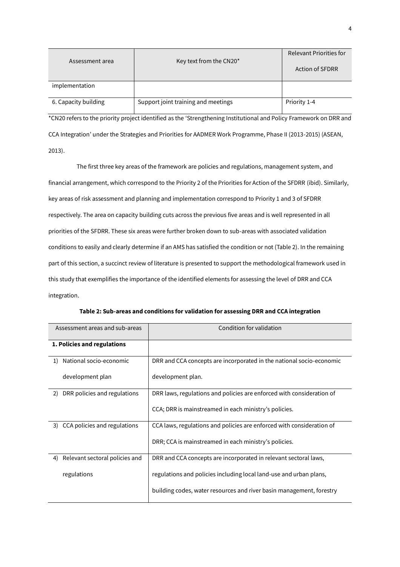|                      |                                     | <b>Relevant Priorities for</b> |  |  |
|----------------------|-------------------------------------|--------------------------------|--|--|
| Assessment area      | Key text from the CN20*             | <b>Action of SFDRR</b>         |  |  |
| implementation       |                                     |                                |  |  |
| 6. Capacity building | Support joint training and meetings | Priority 1-4                   |  |  |

\*CN20 refers to the priority project identified as the 'Strengthening Institutional and Policy Framework on DRR and CCA Integration' under the Strategies and Priorities for AADMER Work Programme, Phase II (2013-2015) (ASEAN, 2013).

The first three key areas of the framework are policies and regulations, management system, and financial arrangement, which correspond to the Priority 2 of the Priorities for Action of the SFDRR (ibid). Similarly, key areas of risk assessment and planning and implementation correspond to Priority 1 and 3 of SFDRR respectively. The area on capacity building cuts across the previous five areas and is well represented in all priorities of the SFDRR. These six areas were further broken down to sub-areas with associated validation conditions to easily and clearly determine if an AMS has satisfied the condition or not (Table 2). In the remaining part of this section, a succinct review of literature is presented to support the methodological framework used in this study that exemplifies the importance of the identified elements for assessing the level of DRR and CCA integration.

| Assessment areas and sub-areas       | Condition for validation                                              |
|--------------------------------------|-----------------------------------------------------------------------|
| 1. Policies and regulations          |                                                                       |
| National socio-economic<br>1)        | DRR and CCA concepts are incorporated in the national socio-economic  |
| development plan                     | development plan.                                                     |
| DRR policies and regulations<br>2)   | DRR laws, regulations and policies are enforced with consideration of |
|                                      | CCA; DRR is mainstreamed in each ministry's policies.                 |
| CCA policies and regulations<br>3)   | CCA laws, regulations and policies are enforced with consideration of |
|                                      | DRR; CCA is mainstreamed in each ministry's policies.                 |
| Relevant sectoral policies and<br>4) | DRR and CCA concepts are incorporated in relevant sectoral laws,      |
| regulations                          | regulations and policies including local land-use and urban plans,    |
|                                      | building codes, water resources and river basin management, forestry  |

**Table 2: Sub-areas and conditions for validation for assessing DRR and CCA integration**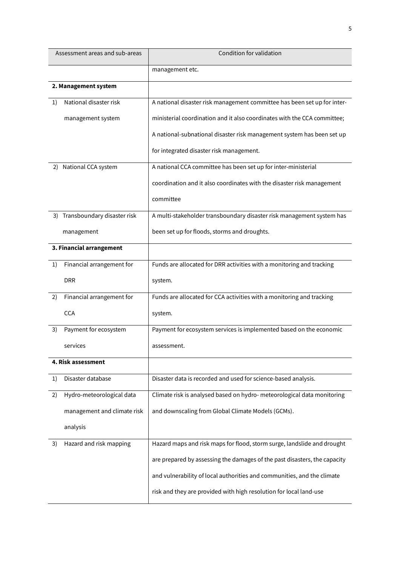| Assessment areas and sub-areas  | Condition for validation                                                  |
|---------------------------------|---------------------------------------------------------------------------|
|                                 | management etc.                                                           |
| 2. Management system            |                                                                           |
| National disaster risk<br>1)    | A national disaster risk management committee has been set up for inter-  |
| management system               | ministerial coordination and it also coordinates with the CCA committee;  |
|                                 | A national-subnational disaster risk management system has been set up    |
|                                 | for integrated disaster risk management.                                  |
| National CCA system<br>2)       | A national CCA committee has been set up for inter-ministerial            |
|                                 | coordination and it also coordinates with the disaster risk management    |
|                                 | committee                                                                 |
| 3) Transboundary disaster risk  | A multi-stakeholder transboundary disaster risk management system has     |
| management                      | been set up for floods, storms and droughts.                              |
| 3. Financial arrangement        |                                                                           |
| Financial arrangement for<br>1) | Funds are allocated for DRR activities with a monitoring and tracking     |
| <b>DRR</b>                      | system.                                                                   |
| Financial arrangement for<br>2) | Funds are allocated for CCA activities with a monitoring and tracking     |
| <b>CCA</b>                      | system.                                                                   |
| Payment for ecosystem<br>3)     | Payment for ecosystem services is implemented based on the economic       |
| services                        | assessment.                                                               |
| 4. Risk assessment              |                                                                           |
| Disaster database<br>1)         | Disaster data is recorded and used for science-based analysis.            |
| 2)<br>Hydro-meteorological data | Climate risk is analysed based on hydro- meteorological data monitoring   |
| management and climate risk     | and downscaling from Global Climate Models (GCMs).                        |
| analysis                        |                                                                           |
| Hazard and risk mapping<br>3)   | Hazard maps and risk maps for flood, storm surge, landslide and drought   |
|                                 | are prepared by assessing the damages of the past disasters, the capacity |
|                                 | and vulnerability of local authorities and communities, and the climate   |
|                                 | risk and they are provided with high resolution for local land-use        |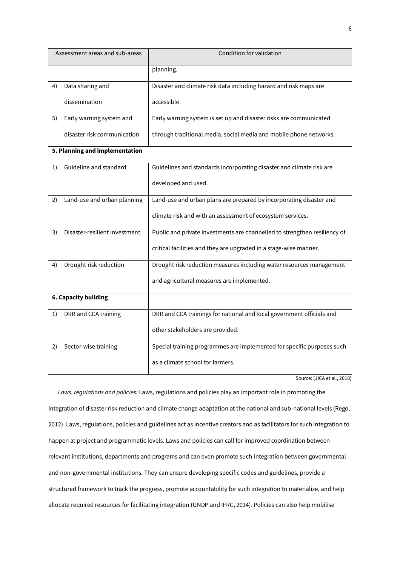| Assessment areas and sub-areas |                                | Condition for validation                                                  |  |  |  |  |
|--------------------------------|--------------------------------|---------------------------------------------------------------------------|--|--|--|--|
|                                |                                | planning.                                                                 |  |  |  |  |
| 4)                             | Data sharing and               | Disaster and climate risk data including hazard and risk maps are         |  |  |  |  |
|                                | dissemination                  | accessible.                                                               |  |  |  |  |
| 5)                             | Early warning system and       | Early warning system is set up and disaster risks are communicated        |  |  |  |  |
|                                | disaster risk communication    | through traditional media, social media and mobile phone networks.        |  |  |  |  |
|                                | 5. Planning and implementation |                                                                           |  |  |  |  |
| 1)                             | Guideline and standard         | Guidelines and standards incorporating disaster and climate risk are      |  |  |  |  |
|                                |                                | developed and used.                                                       |  |  |  |  |
| 2)                             | Land-use and urban planning    | Land-use and urban plans are prepared by incorporating disaster and       |  |  |  |  |
|                                |                                | climate risk and with an assessment of ecosystem services.                |  |  |  |  |
| 3)                             | Disaster-resilient investment  | Public and private investments are channelled to strengthen resiliency of |  |  |  |  |
|                                |                                | critical facilities and they are upgraded in a stage-wise manner.         |  |  |  |  |
| 4)                             | Drought risk reduction         | Drought risk reduction measures including water resources management      |  |  |  |  |
|                                |                                | and agricultural measures are implemented.                                |  |  |  |  |
|                                | <b>6. Capacity building</b>    |                                                                           |  |  |  |  |
| 1)                             | DRR and CCA training           | DRR and CCA trainings for national and local government officials and     |  |  |  |  |
|                                |                                | other stakeholders are provided.                                          |  |  |  |  |
| 2)                             | Sector-wise training           | Special training programmes are implemented for specific purposes such    |  |  |  |  |
|                                |                                | as a climate school for farmers.                                          |  |  |  |  |

Source: (JICA et al., 2018)

*Laws, regulations and policies:* Laws, regulations and policies play an important role in promoting the integration of disaster risk reduction and climate change adaptation at the national and sub-national levels (Rego, 2012). Laws, regulations, policies and guidelines act as incentive creators and as facilitators for such integration to happen at project and programmatic levels. Laws and policies can call for improved coordination between relevant institutions, departments and programs and can even promote such integration between governmental and non-governmental institutions. They can ensure developing specific codes and guidelines, provide a structured framework to track the progress, promote accountability for such integration to materialize, and help allocate required resources for facilitating integration (UNDP and IFRC, 2014). Policies can also help mobilise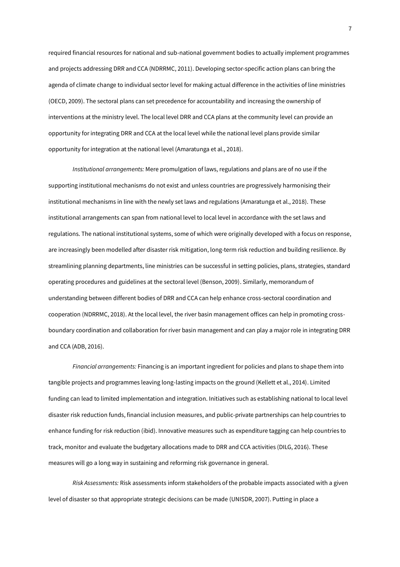required financial resources for national and sub-national government bodies to actually implement programmes and projects addressing DRR and CCA (NDRRMC, 2011). Developing sector-specific action plans can bring the agenda of climate change to individual sector level for making actual difference in the activities of line ministries (OECD, 2009). The sectoral plans can set precedence for accountability and increasing the ownership of interventions at the ministry level. The local level DRR and CCA plans at the community level can provide an opportunity for integrating DRR and CCA at the local level while the national level plans provide similar opportunity for integration at the national level (Amaratunga et al., 2018).

*Institutional arrangements:* Mere promulgation of laws, regulations and plans are of no use if the supporting institutional mechanisms do not exist and unless countries are progressively harmonising their institutional mechanisms in line with the newly set laws and regulations (Amaratunga et al., 2018). These institutional arrangements can span from national level to local level in accordance with the set laws and regulations. The national institutional systems, some of which were originally developed with a focus on response, are increasingly been modelled after disaster risk mitigation, long-term risk reduction and building resilience. By streamlining planning departments, line ministries can be successful in setting policies, plans, strategies, standard operating procedures and guidelines at the sectoral level (Benson, 2009). Similarly, memorandum of understanding between different bodies of DRR and CCA can help enhance cross-sectoral coordination and cooperation (NDRRMC, 2018). At the local level, the river basin management offices can help in promoting crossboundary coordination and collaboration for river basin management and can play a major role in integrating DRR and CCA (ADB, 2016).

*Financial arrangements:* Financing is an important ingredient for policies and plans to shape them into tangible projects and programmes leaving long-lasting impacts on the ground (Kellett et al., 2014). Limited funding can lead to limited implementation and integration. Initiatives such as establishing national to local level disaster risk reduction funds, financial inclusion measures, and public-private partnerships can help countries to enhance funding for risk reduction (ibid). Innovative measures such as expenditure tagging can help countries to track, monitor and evaluate the budgetary allocations made to DRR and CCA activities (DILG, 2016). These measures will go a long way in sustaining and reforming risk governance in general.

*Risk Assessments:* Risk assessments inform stakeholders of the probable impacts associated with a given level of disaster so that appropriate strategic decisions can be made (UNISDR, 2007). Putting in place a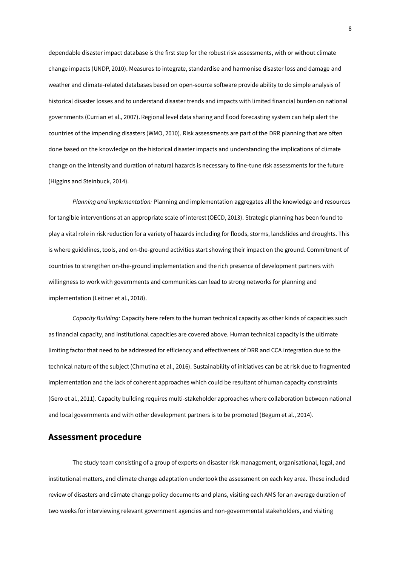dependable disaster impact database is the first step for the robust risk assessments, with or without climate change impacts (UNDP, 2010). Measures to integrate, standardise and harmonise disaster loss and damage and weather and climate-related databases based on open-source software provide ability to do simple analysis of historical disaster losses and to understand disaster trends and impacts with limited financial burden on national governments (Currian et al., 2007). Regional level data sharing and flood forecasting system can help alert the countries of the impending disasters (WMO, 2010). Risk assessments are part of the DRR planning that are often done based on the knowledge on the historical disaster impacts and understanding the implications of climate change on the intensity and duration of natural hazards is necessary to fine-tune risk assessments for the future (Higgins and Steinbuck, 2014).

*Planning and implementation:* Planning and implementation aggregates all the knowledge and resources for tangible interventions at an appropriate scale of interest (OECD, 2013). Strategic planning has been found to play a vital role in risk reduction for a variety of hazards including for floods, storms, landslides and droughts. This is where guidelines, tools, and on-the-ground activities start showing their impact on the ground. Commitment of countries to strengthen on-the-ground implementation and the rich presence of development partners with willingness to work with governments and communities can lead to strong networks for planning and implementation (Leitner et al., 2018).

*Capacity Building:* Capacity here refers to the human technical capacity as other kinds of capacities such as financial capacity, and institutional capacities are covered above. Human technical capacity is the ultimate limiting factor that need to be addressed for efficiency and effectiveness of DRR and CCA integration due to the technical nature of the subject (Chmutina et al., 2016). Sustainability of initiatives can be at risk due to fragmented implementation and the lack of coherent approaches which could be resultant of human capacity constraints (Gero et al., 2011). Capacity building requires multi-stakeholder approaches where collaboration between national and local governments and with other development partners is to be promoted (Begum et al., 2014).

#### **Assessment procedure**

The study team consisting of a group of experts on disaster risk management, organisational, legal, and institutional matters, and climate change adaptation undertook the assessment on each key area. These included review of disasters and climate change policy documents and plans, visiting each AMS for an average duration of two weeks for interviewing relevant government agencies and non-governmental stakeholders, and visiting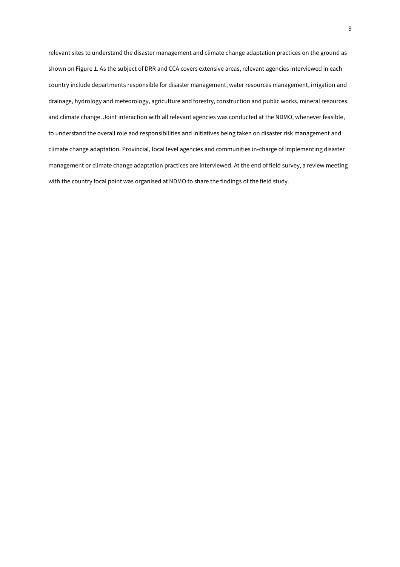relevant sites to understand the disaster management and climate change adaptation practices on the ground as shown on Figure 1. As the subject of DRR and CCA covers extensive areas, relevant agencies interviewed in each country include departments responsible for disaster management, water resources management, irrigation and drainage, hydrology and meteorology, agriculture and forestry, construction and public works, mineral resources, and climate change. Joint interaction with all relevant agencies was conducted at the NDMO, whenever feasible, to understand the overall role and responsibilities and initiatives being taken on disaster risk management and climate change adaptation. Provincial, local level agencies and communities in-charge of implementing disaster management or climate change adaptation practices are interviewed. At the end of field survey, a review meeting with the country focal point was organised at NDMO to share the findings of the field study.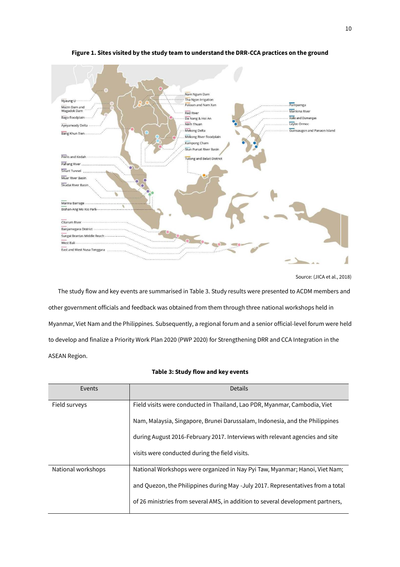

#### **Figure 1. Sites visited by the study team to understand the DRR-CCA practices on the ground**



The study flow and key events are summarised in Table 3. Study results were presented to ACDM members and other government officials and feedback was obtained from them through three national workshops held in Myanmar, Viet Nam and the Philippines. Subsequently, a regional forum and a senior official-level forum were held to develop and finalize a Priority Work Plan 2020 (PWP 2020) for Strengthening DRR and CCA Integration in the ASEAN Region.

| Events             | <b>Details</b>                                                                  |
|--------------------|---------------------------------------------------------------------------------|
| Field surveys      | Field visits were conducted in Thailand, Lao PDR, Myanmar, Cambodia, Viet       |
|                    | Nam, Malaysia, Singapore, Brunei Darussalam, Indonesia, and the Philippines     |
|                    | during August 2016-February 2017. Interviews with relevant agencies and site    |
|                    | visits were conducted during the field visits.                                  |
| National workshops | National Workshops were organized in Nay Pyi Taw, Myanmar; Hanoi, Viet Nam;     |
|                    | and Quezon, the Philippines during May -July 2017. Representatives from a total |
|                    | of 26 ministries from several AMS, in addition to several development partners, |

#### **Table 3: Study flow and key events**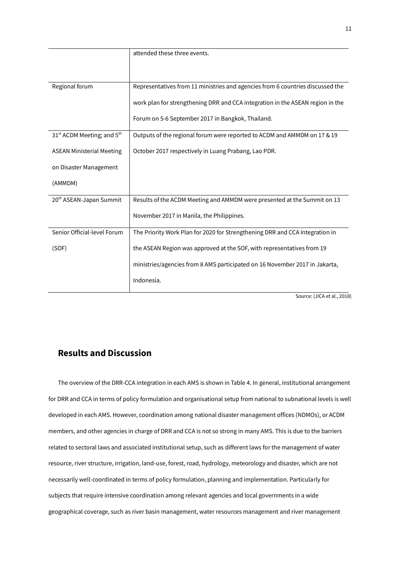|                                                    | attended these three events.                                                   |
|----------------------------------------------------|--------------------------------------------------------------------------------|
|                                                    |                                                                                |
|                                                    |                                                                                |
| Regional forum                                     | Representatives from 11 ministries and agencies from 6 countries discussed the |
|                                                    | work plan for strengthening DRR and CCA integration in the ASEAN region in the |
|                                                    | Forum on 5-6 September 2017 in Bangkok, Thailand.                              |
| 31 <sup>st</sup> ACDM Meeting; and 5 <sup>th</sup> | Outputs of the regional forum were reported to ACDM and AMMDM on 17 & 19       |
| <b>ASEAN Ministerial Meeting</b>                   | October 2017 respectively in Luang Prabang, Lao PDR.                           |
| on Disaster Management                             |                                                                                |
| (AMMDM)                                            |                                                                                |
| 20 <sup>th</sup> ASEAN-Japan Summit                | Results of the ACDM Meeting and AMMDM were presented at the Summit on 13       |
|                                                    | November 2017 in Manila, the Philippines.                                      |
| Senior Official-level Forum                        | The Priority Work Plan for 2020 for Strengthening DRR and CCA Integration in   |
| (SOF)                                              | the ASEAN Region was approved at the SOF, with representatives from 19         |
|                                                    | ministries/agencies from 8 AMS participated on 16 November 2017 in Jakarta,    |
|                                                    | Indonesia.                                                                     |
|                                                    | $1100A + 100$                                                                  |

Source: (JICA et al., 2018)

# **Results and Discussion**

The overview of the DRR-CCA integration in each AMS is shown in Table 4. In general, institutional arrangement for DRR and CCA in terms of policy formulation and organisational setup from national to subnational levels is well developed in each AMS. However, coordination among national disaster management offices (NDMOs), or ACDM members, and other agencies in charge of DRR and CCA is not so strong in many AMS. This is due to the barriers related to sectoral laws and associated institutional setup, such as different laws for the management of water resource, river structure, irrigation, land-use, forest, road, hydrology, meteorology and disaster, which are not necessarily well-coordinated in terms of policy formulation, planning and implementation. Particularly for subjects that require intensive coordination among relevant agencies and local governments in a wide geographical coverage, such as river basin management, water resources management and river management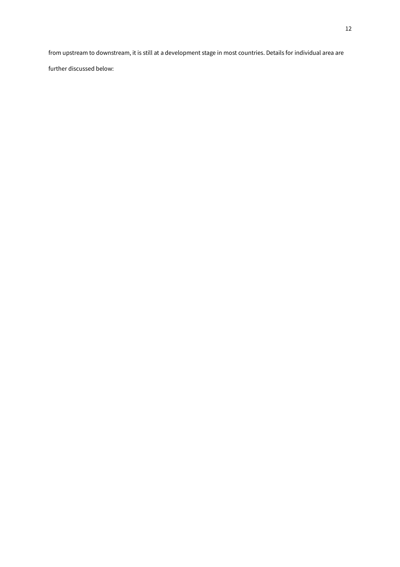from upstream to downstream, it is still at a development stage in most countries. Details for individual area are

further discussed below: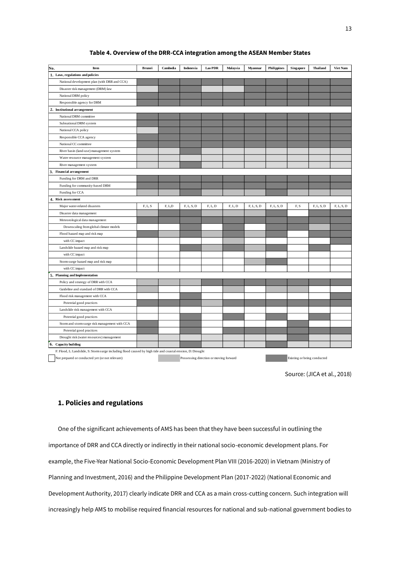#### **Table 4. Overview of the DRR-CCA integration among the ASEAN Member States**

| No.<br>Item                                    | <b>Brunei</b> | Cambodia | Indonesia  | Lao PDR | Malaysia | Myanmar    | <b>Philippines</b> | <b>Singapore</b> | <b>Thailand</b> | Viet Nam   |
|------------------------------------------------|---------------|----------|------------|---------|----------|------------|--------------------|------------------|-----------------|------------|
| 1. Laws, regulations and policies              |               |          |            |         |          |            |                    |                  |                 |            |
| National development plan (with DRR and CCA)   |               |          |            |         |          |            |                    |                  |                 |            |
| Disaster risk management (DRM) law             |               |          |            |         |          |            |                    |                  |                 |            |
| National DRM policy                            |               |          |            |         |          |            |                    |                  |                 |            |
| Responsible agency for DRM                     |               |          |            |         |          |            |                    |                  |                 |            |
| 2. Institutional arrangement                   |               |          |            |         |          |            |                    |                  |                 |            |
| National DRM committee                         |               |          |            |         |          |            |                    |                  |                 |            |
| Subnational DRM system                         |               |          |            |         |          |            |                    |                  |                 |            |
| National CCA policy                            |               |          |            |         |          |            |                    |                  |                 |            |
| Responsible CCA agency                         |               |          |            |         |          |            |                    |                  |                 |            |
| National CC committee                          |               |          |            |         |          |            |                    |                  |                 |            |
| River basin (land-use) management system       |               |          |            |         |          |            |                    |                  |                 |            |
| Water resource management system               |               |          |            |         |          |            |                    |                  |                 |            |
| River management system                        |               |          |            |         |          |            |                    |                  |                 |            |
| 3. Financial arrangement                       |               |          |            |         |          |            |                    |                  |                 |            |
| Funding for DRM and DRR                        |               |          |            |         |          |            |                    |                  |                 |            |
| Funding for community-based DRM                |               |          |            |         |          |            |                    |                  |                 |            |
| Funding for CCA                                |               |          |            |         |          |            |                    |                  |                 |            |
| 4. Risk assessment                             |               |          |            |         |          |            |                    |                  |                 |            |
| Major water-related disasters                  | F, L, S       | F, LD    | F, L, S, D | F, L, D | F, L, D  | F, L, S, D | F, L, S, D         | F, S             | F, L, S, D      | F, L, S, D |
| Disaster data management                       |               |          |            |         |          |            |                    |                  |                 |            |
| Meteorological data management                 |               |          |            |         |          |            |                    |                  |                 |            |
| Downscaling from global climate models         |               |          |            |         |          |            |                    |                  |                 |            |
| Flood hazard map and risk map                  |               |          |            |         |          |            |                    |                  |                 |            |
| with CC impact                                 |               |          |            |         |          |            |                    |                  |                 |            |
| Landslide hazard map and risk map              |               |          |            |         |          |            |                    |                  |                 |            |
| with CC impact                                 |               |          |            |         |          |            |                    |                  |                 |            |
| Storm surge hazard map and risk map            |               |          |            |         |          |            |                    |                  |                 |            |
| with CC impact                                 |               |          |            |         |          |            |                    |                  |                 |            |
| 5. Planning and Implementation                 |               |          |            |         |          |            |                    |                  |                 |            |
| Policy and strategy of DRR with CCA            |               |          |            |         |          |            |                    |                  |                 |            |
| Guideline and standard of DRR with CCA         |               |          |            |         |          |            |                    |                  |                 |            |
| Flood risk management with CCA                 |               |          |            |         |          |            |                    |                  |                 |            |
| Potential good practices                       |               |          |            |         |          |            |                    |                  |                 |            |
| Landslide risk management with CCA             |               |          |            |         |          |            |                    |                  |                 |            |
| Potential good practices                       |               |          |            |         |          |            |                    |                  |                 |            |
| Storm and storm surge risk management with CCA |               |          |            |         |          |            |                    |                  |                 |            |
| Potential good practices                       |               |          |            |         |          |            |                    |                  |                 |            |
| Drought risk (water resources) management      |               |          |            |         |          |            |                    |                  |                 |            |
| 6. Capacity building                           |               |          |            |         |          |            |                    |                  |                 |            |

Source: (JICA et al., 2018)

#### **1. Policies and regulations**

One of the significant achievements of AMS has been that they have been successful in outlining the importance of DRR and CCA directly or indirectly in their national socio-economic development plans. For example, the Five-Year National Socio-Economic Development Plan VIII (2016-2020) in Vietnam (Ministry of Planning and Investment, 2016) and the Philippine Development Plan (2017-2022) (National Economic and Development Authority, 2017) clearly indicate DRR and CCA as a main cross-cutting concern. Such integration will increasingly help AMS to mobilise required financial resources for national and sub-national government bodies to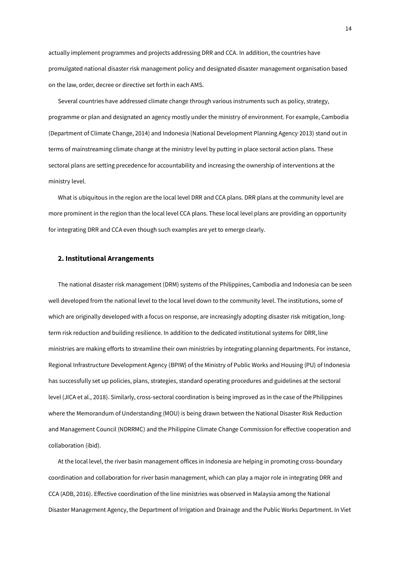actually implement programmes and projects addressing DRR and CCA. In addition, the countries have promulgated national disaster risk management policy and designated disaster management organisation based on the law, order, decree or directive set forth in each AMS.

Several countries have addressed climate change through various instruments such as policy, strategy, programme or plan and designated an agency mostly under the ministry of environment. For example, Cambodia (Department of Climate Change, 2014) and Indonesia (National Development Planning Agency, 2013) stand out in terms of mainstreaming climate change at the ministry level by putting in place sectoral action plans. These sectoral plans are setting precedence for accountability and increasing the ownership of interventions at the ministry level.

What is ubiquitous in the region are the local level DRR and CCA plans. DRR plans at the community level are more prominent in the region than the local level CCA plans. These local level plans are providing an opportunity for integrating DRR and CCA even though such examples are yet to emerge clearly.

#### **2. Institutional Arrangements**

The national disaster risk management (DRM) systems of the Philippines, Cambodia and Indonesia can be seen well developed from the national level to the local level down to the community level. The institutions, some of which are originally developed with a focus on response, are increasingly adopting disaster risk mitigation, longterm risk reduction and building resilience. In addition to the dedicated institutional systems for DRR, line ministries are making efforts to streamline their own ministries by integrating planning departments. For instance, Regional Infrastructure Development Agency (BPIW) of the Ministry of Public Works and Housing (PU) of Indonesia has successfully set up policies, plans, strategies, standard operating procedures and guidelines at the sectoral level (JICA et al., 2018). Similarly, cross-sectoral coordination is being improved as in the case of the Philippines where the Memorandum of Understanding (MOU) is being drawn between the National Disaster Risk Reduction and Management Council (NDRRMC) and the Philippine Climate Change Commission for effective cooperation and collaboration (ibid).

At the local level, the river basin management offices in Indonesia are helping in promoting cross-boundary coordination and collaboration for river basin management, which can play a major role in integrating DRR and CCA (ADB, 2016). Effective coordination of the line ministries was observed in Malaysia among the National Disaster Management Agency, the Department of Irrigation and Drainage and the Public Works Department. In Viet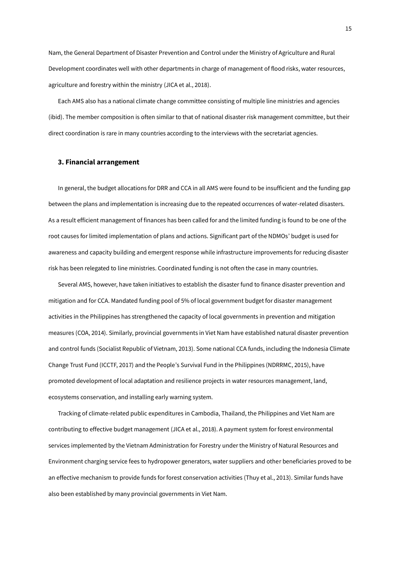Nam, the General Department of Disaster Prevention and Control under the Ministry of Agriculture and Rural Development coordinates well with other departments in charge of management of flood risks, water resources, agriculture and forestry within the ministry (JICA et al., 2018).

Each AMS also has a national climate change committee consisting of multiple line ministries and agencies (ibid). The member composition is often similar to that of national disaster risk management committee, but their direct coordination is rare in many countries according to the interviews with the secretariat agencies.

#### **3. Financial arrangement**

In general, the budget allocations for DRR and CCA in all AMS were found to be insufficient and the funding gap between the plans and implementation is increasing due to the repeated occurrences of water-related disasters. As a result efficient management of finances has been called for and the limited funding is found to be one of the root causes for limited implementation of plans and actions. Significant part of the NDMOs' budget is used for awareness and capacity building and emergent response while infrastructure improvements for reducing disaster risk has been relegated to line ministries. Coordinated funding is not often the case in many countries.

Several AMS, however, have taken initiatives to establish the disaster fund to finance disaster prevention and mitigation and for CCA. Mandated funding pool of 5% of local government budget for disaster management activities in the Philippines has strengthened the capacity of local governments in prevention and mitigation measures (COA, 2014). Similarly, provincial governments in Viet Nam have established natural disaster prevention and control funds (Socialist Republic of Vietnam, 2013). Some national CCA funds, including the Indonesia Climate Change Trust Fund (ICCTF, 2017) and the People's Survival Fund in the Philippines (NDRRMC, 2015), have promoted development of local adaptation and resilience projects in water resources management, land, ecosystems conservation, and installing early warning system.

Tracking of climate-related public expenditures in Cambodia, Thailand, the Philippines and Viet Nam are contributing to effective budget management (JICA et al., 2018). A payment system for forest environmental services implemented by the Vietnam Administration for Forestry under the Ministry of Natural Resources and Environment charging service fees to hydropower generators, water suppliers and other beneficiaries proved to be an effective mechanism to provide funds for forest conservation activities (Thuy et al., 2013). Similar funds have also been established by many provincial governments in Viet Nam.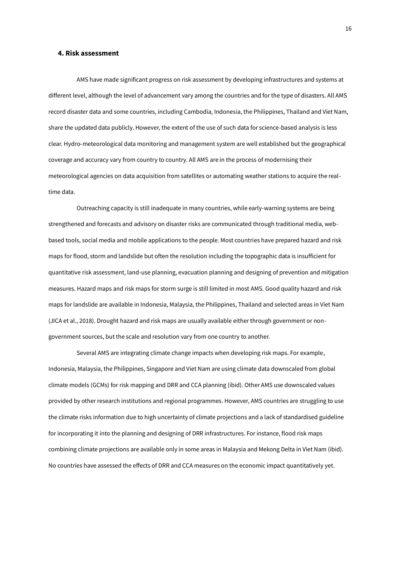#### **4. Risk assessment**

AMS have made significant progress on risk assessment by developing infrastructures and systems at different level, although the level of advancement vary among the countries and for the type of disasters. All AMS record disaster data and some countries, including Cambodia, Indonesia, the Philippines, Thailand and Viet Nam, share the updated data publicly. However, the extent of the use of such data for science-based analysis is less clear. Hydro‐meteorological data monitoring and management system are well established but the geographical coverage and accuracy vary from country to country. All AMS are in the process of modernising their meteorological agencies on data acquisition from satellites or automating weather stations to acquire the realtime data.

Outreaching capacity is still inadequate in many countries, while early-warning systems are being strengthened and forecasts and advisory on disaster risks are communicated through traditional media, webbased tools, social media and mobile applications to the people. Most countries have prepared hazard and risk maps for flood, storm and landslide but often the resolution including the topographic data is insufficient for quantitative risk assessment, land-use planning, evacuation planning and designing of prevention and mitigation measures. Hazard maps and risk maps for storm surge is still limited in most AMS. Good quality hazard and risk maps for landslide are available in Indonesia, Malaysia, the Philippines, Thailand and selected areas in Viet Nam (JICA et al., 2018). Drought hazard and risk maps are usually available either through government or nongovernment sources, but the scale and resolution vary from one country to another.

Several AMS are integrating climate change impacts when developing risk maps. For example, Indonesia, Malaysia, the Philippines, Singapore and Viet Nam are using climate data downscaled from global climate models (GCMs) for risk mapping and DRR and CCA planning (ibid). Other AMS use downscaled values provided by other research institutions and regional programmes. However, AMS countries are struggling to use the climate risks information due to high uncertainty of climate projections and a lack of standardised guideline for incorporating it into the planning and designing of DRR infrastructures. For instance, flood risk maps combining climate projections are available only in some areas in Malaysia and Mekong Delta in Viet Nam (ibid). No countries have assessed the effects of DRR and CCA measures on the economic impact quantitatively yet.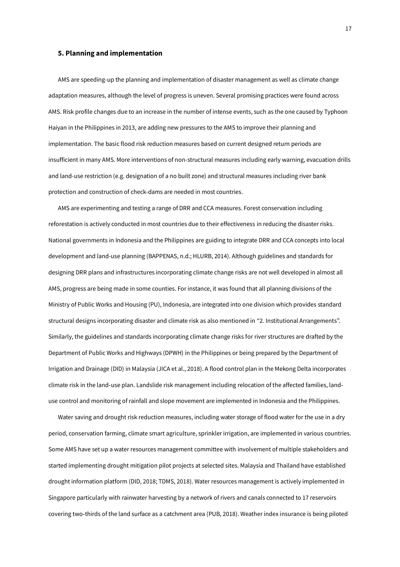#### **5. Planning and implementation**

AMS are speeding-up the planning and implementation of disaster management as well as climate change adaptation measures, although the level of progress is uneven. Several promising practices were found across AMS. Risk profile changes due to an increase in the number of intense events, such as the one caused by Typhoon Haiyan in the Philippines in 2013, are adding new pressures to the AMS to improve their planning and implementation. The basic flood risk reduction measures based on current designed return periods are insufficient in many AMS. More interventions of non-structural measures including early warning, evacuation drills and land-use restriction (e.g. designation of a no built zone) and structural measures including river bank protection and construction of check-dams are needed in most countries.

AMS are experimenting and testing a range of DRR and CCA measures. Forest conservation including reforestation is actively conducted in most countries due to their effectiveness in reducing the disaster risks. National governments in Indonesia and the Philippines are guiding to integrate DRR and CCA concepts into local development and land-use planning (BAPPENAS, n.d.; HLURB, 2014). Although guidelines and standards for designing DRR plans and infrastructures incorporating climate change risks are not well developed in almost all AMS, progress are being made in some counties. For instance, it was found that all planning divisions of the Ministry of Public Works and Housing (PU), Indonesia, are integrated into one division which provides standard structural designs incorporating disaster and climate risk as also mentioned in "2. Institutional Arrangements". Similarly, the guidelines and standards incorporating climate change risks for river structures are drafted by the Department of Public Works and Highways (DPWH) in the Philippines or being prepared by the Department of Irrigation and Drainage (DID) in Malaysia (JICA et al., 2018). A flood control plan in the Mekong Delta incorporates climate risk in the land‐use plan. Landslide risk management including relocation of the affected families, land‐ use control and monitoring of rainfall and slope movement are implemented in Indonesia and the Philippines.

Water saving and drought risk reduction measures, including water storage of flood water for the use in a dry period, conservation farming, climate smart agriculture, sprinkler irrigation, are implemented in various countries. Some AMS have set up a water resources management committee with involvement of multiple stakeholders and started implementing drought mitigation pilot projects at selected sites. Malaysia and Thailand have established drought information platform (DID, 2018; TDMS, 2018). Water resources management is actively implemented in Singapore particularly with rainwater harvesting by a network of rivers and canals connected to 17 reservoirs covering two-thirds of the land surface as a catchment area (PUB, 2018). Weather index insurance is being piloted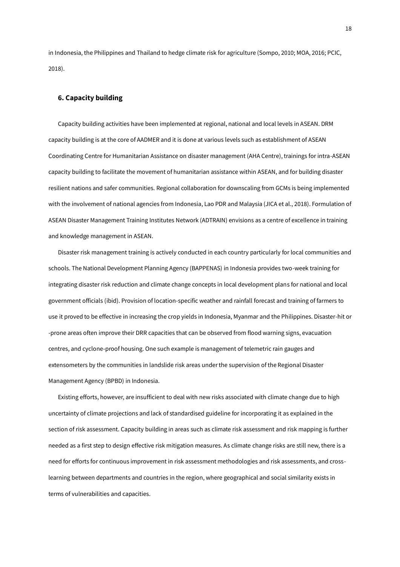in Indonesia, the Philippines and Thailand to hedge climate risk for agriculture (Sompo, 2010; MOA, 2016; PCIC, 2018).

#### **6. Capacity building**

Capacity building activities have been implemented at regional, national and local levels in ASEAN. DRM capacity building is at the core of AADMER and it is done at various levels such as establishment of ASEAN Coordinating Centre for Humanitarian Assistance on disaster management (AHA Centre), trainings for intra-ASEAN capacity building to facilitate the movement of humanitarian assistance within ASEAN, and for building disaster resilient nations and safer communities. Regional collaboration for downscaling from GCMs is being implemented with the involvement of national agencies from Indonesia, Lao PDR and Malaysia (JICA et al., 2018). Formulation of ASEAN Disaster Management Training Institutes Network (ADTRAIN) envisions as a centre of excellence in training and knowledge management in ASEAN.

Disaster risk management training is actively conducted in each country particularly for local communities and schools. The National Development Planning Agency (BAPPENAS) in Indonesia provides two-week training for integrating disaster risk reduction and climate change concepts in local development plans for national and local government officials (ibid). Provision of location-specific weather and rainfall forecast and training of farmers to use it proved to be effective in increasing the crop yields in Indonesia, Myanmar and the Philippines. Disaster-hit or -prone areas often improve their DRR capacities that can be observed from flood warning signs, evacuation centres, and cyclone-proof housing. One such example is management of telemetric rain gauges and extensometers by the communities in landslide risk areas under the supervision of the Regional Disaster Management Agency (BPBD) in Indonesia.

Existing efforts, however, are insufficient to deal with new risks associated with climate change due to high uncertainty of climate projections and lack of standardised guideline for incorporating it as explained in the section of risk assessment. Capacity building in areas such as climate risk assessment and risk mapping is further needed as a first step to design effective risk mitigation measures. As climate change risks are still new, there is a need for efforts for continuous improvement in risk assessment methodologies and risk assessments, and crosslearning between departments and countries in the region, where geographical and social similarity exists in terms of vulnerabilities and capacities.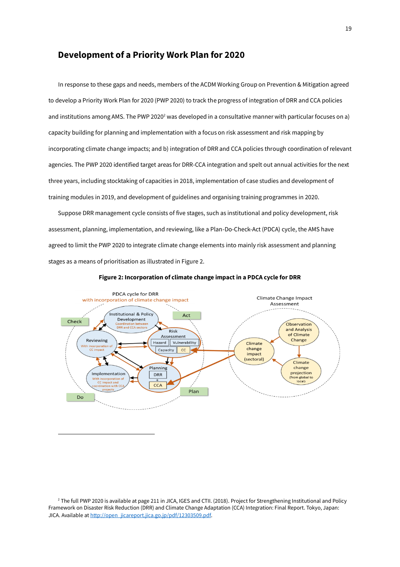#### **Development of a Priority Work Plan for 2020**

In response to these gaps and needs, members of the ACDM Working Group on Prevention & Mitigation agreed to develop a Priority Work Plan for 2020 (PWP 2020) to track the progress of integration of DRR and CCA policies and institutions among AMS. The PWP 2020<sup>2</sup> was developed in a consultative manner with particular focuses on a) capacity building for planning and implementation with a focus on risk assessment and risk mapping by incorporating climate change impacts; and b) integration of DRR and CCA policies through coordination of relevant agencies. The PWP 2020 identified target areas for DRR-CCA integration and spelt out annual activities for the next three years, including stocktaking of capacities in 2018, implementation of case studies and development of training modules in 2019, and development of guidelines and organising training programmes in 2020.

Suppose DRR management cycle consists of five stages, such as institutional and policy development, risk assessment, planning, implementation, and reviewing, like a Plan-Do-Check-Act (PDCA) cycle, the AMS have agreed to limit the PWP 2020 to integrate climate change elements into mainly risk assessment and planning stages as a means of prioritisation as illustrated in Figure 2.



#### **Figure 2: Incorporation of climate change impact in a PDCA cycle for DRR**

 $\overline{a}$ 

<sup>&</sup>lt;sup>2</sup> The full PWP 2020 is available at page 211 in JICA, IGES and CTII. (2018). Project for Strengthening Institutional and Policy Framework on Disaster Risk Reduction (DRR) and Climate Change Adaptation (CCA) Integration: Final Report. Tokyo, Japan: JICA. Available a[t http://open\\_jicareport.jica.go.jp/pdf/12303509.pdf.](http://open_jicareport.jica.go.jp/pdf/12303509.pdf)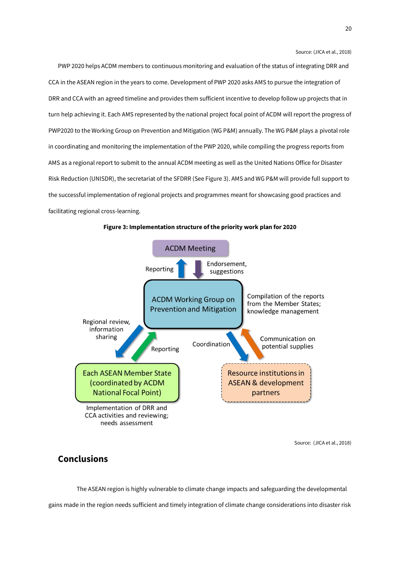Source: (JICA et al., 2018)

PWP 2020 helps ACDM members to continuous monitoring and evaluation of the status of integrating DRR and CCA in the ASEAN region in the years to come. Development of PWP 2020 asks AMS to pursue the integration of DRR and CCA with an agreed timeline and provides them sufficient incentive to develop follow up projects that in turn help achieving it. Each AMS represented by the national project focal point of ACDM will report the progress of PWP2020 to the Working Group on Prevention and Mitigation (WG P&M) annually. The WG P&M plays a pivotal role in coordinating and monitoring the implementation of the PWP 2020, while compiling the progress reports from AMS as a regional report to submit to the annual ACDM meeting as well as the United Nations Office for Disaster Risk Reduction (UNISDR), the secretariat of the SFDRR (See Figure 3). AMS and WG P&M will provide full support to the successful implementation of regional projects and programmes meant for showcasing good practices and facilitating regional cross-learning.





Source: (JICA et al., 2018)

## **Conclusions**

The ASEAN region is highly vulnerable to climate change impacts and safeguarding the developmental

gains made in the region needs sufficient and timely integration of climate change considerations into disaster risk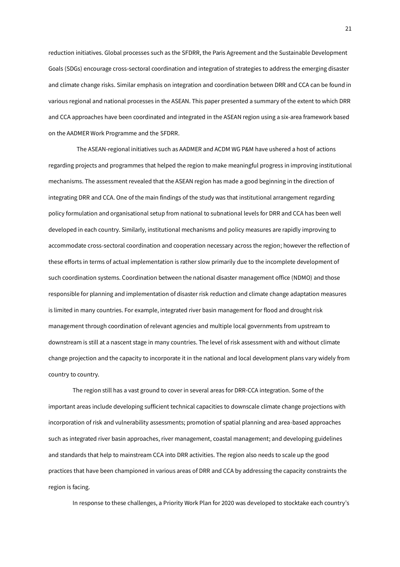reduction initiatives. Global processes such as the SFDRR, the Paris Agreement and the Sustainable Development Goals (SDGs) encourage cross-sectoral coordination and integration of strategies to address the emerging disaster and climate change risks. Similar emphasis on integration and coordination between DRR and CCA can be found in various regional and national processes in the ASEAN. This paper presented a summary of the extent to which DRR and CCA approaches have been coordinated and integrated in the ASEAN region using a six-area framework based on the AADMER Work Programme and the SFDRR.

The ASEAN-regional initiatives such as AADMER and ACDM WG P&M have ushered a host of actions regarding projects and programmes that helped the region to make meaningful progress in improving institutional mechanisms. The assessment revealed that the ASEAN region has made a good beginning in the direction of integrating DRR and CCA. One of the main findings of the study was that institutional arrangement regarding policy formulation and organisational setup from national to subnational levels for DRR and CCA has been well developed in each country. Similarly, institutional mechanisms and policy measures are rapidly improving to accommodate cross-sectoral coordination and cooperation necessary across the region; however the reflection of these efforts in terms of actual implementation is rather slow primarily due to the incomplete development of such coordination systems. Coordination between the national disaster management office (NDMO) and those responsible for planning and implementation of disaster risk reduction and climate change adaptation measures is limited in many countries. For example, integrated river basin management for flood and drought risk management through coordination of relevant agencies and multiple local governments from upstream to downstream is still at a nascent stage in many countries. The level of risk assessment with and without climate change projection and the capacity to incorporate it in the national and local development plans vary widely from country to country.

The region still has a vast ground to cover in several areas for DRR-CCA integration. Some of the important areas include developing sufficient technical capacities to downscale climate change projections with incorporation of risk and vulnerability assessments; promotion of spatial planning and area-based approaches such as integrated river basin approaches, river management, coastal management; and developing guidelines and standards that help to mainstream CCA into DRR activities. The region also needs to scale up the good practices that have been championed in various areas of DRR and CCA by addressing the capacity constraints the region is facing.

In response to these challenges, a Priority Work Plan for 2020 was developed to stocktake each country's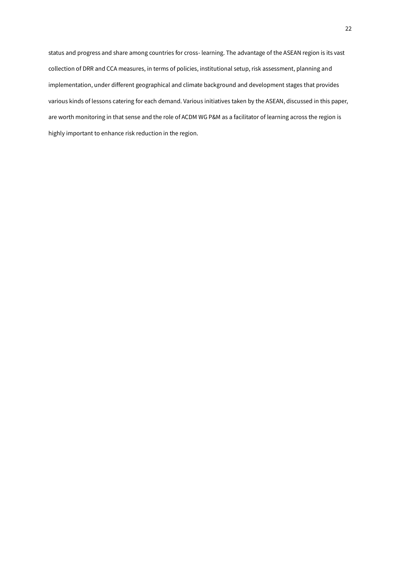status and progress and share among countries for cross- learning. The advantage of the ASEAN region is its vast collection of DRR and CCA measures, in terms of policies, institutional setup, risk assessment, planning and implementation, under different geographical and climate background and development stages that provides various kinds of lessons catering for each demand. Various initiatives taken by the ASEAN, discussed in this paper, are worth monitoring in that sense and the role of ACDM WG P&M as a facilitator of learning across the region is highly important to enhance risk reduction in the region.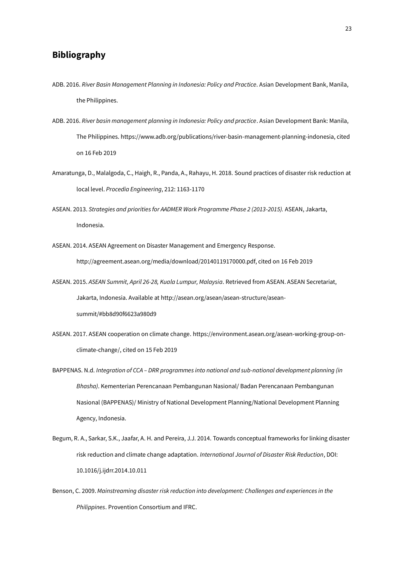# **Bibliography**

- ADB. 2016. *River Basin Management Planning in Indonesia: Policy and Practice*. Asian Development Bank, Manila, the Philippines.
- ADB. 2016. *River basin management planning in Indonesia: Policy and practice*. Asian Development Bank: Manila, The Philippines[. https://www.adb.org/publications/river-basin-management-planning-indonesia,](https://www.adb.org/publications/river-basin-management-planning-indonesia) cited on 16 Feb 2019
- Amaratunga, D., Malalgoda, C., Haigh, R., Panda, A., Rahayu, H. 2018. Sound practices of disaster risk reduction at local level. *Procedia Engineering*, 212: 1163-1170
- ASEAN. 2013. *Strategies and priorities for AADMER Work Programme Phase 2 (2013-2015).* ASEAN, Jakarta, Indonesia.
- ASEAN. 2014. ASEAN Agreement on Disaster Management and Emergency Response. [http://agreement.asean.org/media/download/20140119170000.pdf,](http://agreement.asean.org/media/download/20140119170000.pdf) cited on 16 Feb 2019
- ASEAN. 2015. *ASEAN Summit, April 26-28, Kuala Lumpur, Malaysia*. Retrieved from ASEAN. ASEAN Secretariat, Jakarta, Indonesia. Available a[t http://asean.org/asean/asean-structure/asean](http://asean.org/asean/asean-structure/asean-summit/#bb8d90f6623a980d9)[summit/#bb8d90f6623a980d9](http://asean.org/asean/asean-structure/asean-summit/#bb8d90f6623a980d9)
- ASEAN. 2017. ASEAN cooperation on climate change[. https://environment.asean.org/asean-working-group-on](https://environment.asean.org/asean-working-group-on-climate-change/)[climate-change/,](https://environment.asean.org/asean-working-group-on-climate-change/) cited on 15 Feb 2019
- BAPPENAS. N.d. *Integration of CCA – DRR programmes into national and sub-national development planning (in Bhasha)*. Kementerian Perencanaan Pembangunan Nasional/ Badan Perencanaan Pembangunan Nasional (BAPPENAS)/ Ministry of National Development Planning/National Development Planning Agency, Indonesia.
- Begum, R. A., Sarkar, S.K., Jaafar, A. H. and Pereira, J.J. 2014. Towards conceptual frameworks for linking disaster risk reduction and climate change adaptation. *International Journal of Disaster Risk Reduction*, DOI: 10.1016/j.ijdrr.2014.10.011
- Benson, C. 2009. *Mainstreaming disaster risk reduction into development: Challenges and experiences in the Philippines*. Provention Consortium and IFRC.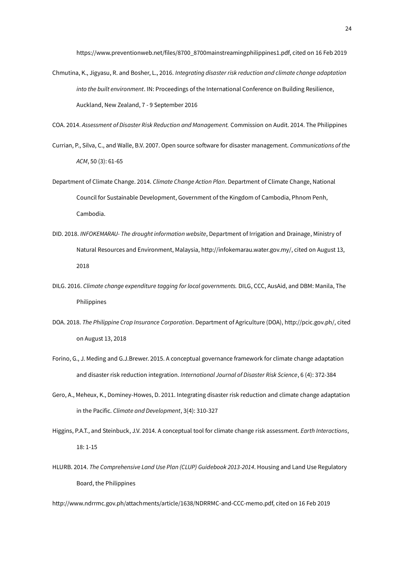[https://www.preventionweb.net/files/8700\\_8700mainstreamingphilippines1.pdf,](https://www.preventionweb.net/files/8700_8700mainstreamingphilippines1.pdf) cited on 16 Feb 2019

Chmutina, K., Jigyasu, R. and Bosher, L., 2016. *Integrating disaster risk reduction and climate change adaptation into the built environment*. IN: Proceedings of the International Conference on Building Resilience, Auckland, New Zealand, 7 - 9 September 2016

COA. 2014. *Assessment of Disaster Risk Reduction and Management.* Commission on Audit. 2014. The Philippines

- Currian, P., Silva, C., and Walle, B.V. 2007. Open source software for disaster management. *Communications of the ACM*, 50 (3): 61-65
- Department of Climate Change. 2014. *Climate Change Action Plan*. Department of Climate Change, National Council for Sustainable Development, Government of the Kingdom of Cambodia, Phnom Penh, Cambodia.
- DID. 2018. *INFOKEMARAU- The drought information website*, Department of Irrigation and Drainage, Ministry of Natural Resources and Environment, Malaysia[, http://infokemarau.water.gov.my/,](http://infokemarau.water.gov.my/) cited on August 13, 2018
- DILG. 2016. *Climate change expenditure tagging for local governments.* DILG, CCC, AusAid, and DBM: Manila, The Philippines
- DOA. 2018. *The Philippine Crop Insurance Corporation*. Department of Agriculture (DOA)[, http://pcic.gov.ph/,](http://pcic.gov.ph/) cited on August 13, 2018
- Forino, G., J. Meding and G.J.Brewer. 2015. A conceptual governance framework for climate change adaptation and disaster risk reduction integration. *International Journal of Disaster Risk Science*, 6 (4): 372-384
- Gero, A., Meheux, K., Dominey-Howes, D. 2011. Integrating disaster risk reduction and climate change adaptation in the Pacific. *Climate and Development*, 3(4): 310-327
- Higgins, P.A.T., and Steinbuck, J.V. 2014. A conceptual tool for climate change risk assessment. *Earth Interactions*, 18: 1-15
- HLURB. 2014. *The Comprehensive Land Use Plan (CLUP) Guidebook 2013-2014*. Housing and Land Use Regulatory Board, the Philippines

[http://www.ndrrmc.gov.ph/attachments/article/1638/NDRRMC-and-CCC-memo.pdf,](http://www.ndrrmc.gov.ph/attachments/article/1638/NDRRMC-and-CCC-memo.pdf) cited on 16 Feb 2019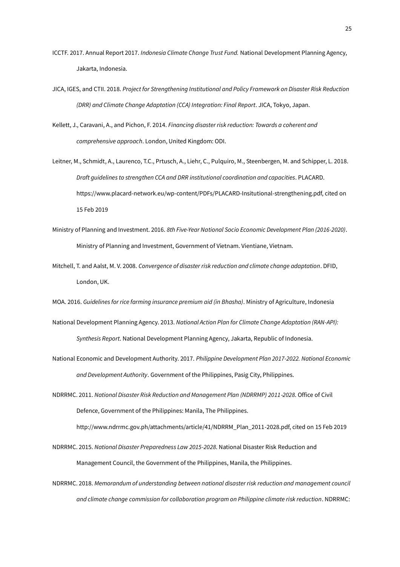- ICCTF. 2017. Annual Report 2017. *Indonesia Climate Change Trust Fund.* National Development Planning Agency, Jakarta, Indonesia.
- JICA, IGES, and CTII. 2018. *Project for Strengthening Institutional and Policy Framework on Disaster Risk Reduction (DRR) and Climate Change Adaptation (CCA) Integration: Final Report*. JICA, Tokyo, Japan.
- Kellett, J., Caravani, A., and Pichon, F. 2014. *Financing disaster risk reduction: Towards a coherent and comprehensive approach*. London, United Kingdom: ODI.
- Leitner, M., Schmidt, A., Laurenco, T.C., Prtusch, A., Liehr, C., Pulquiro, M., Steenbergen, M. and Schipper, L. 2018. *Draft guidelines to strengthen CCA and DRR institutional coordination and capacities*. PLACARD. [https://www.placard-network.eu/wp-content/PDFs/PLACARD-Insitutional-strengthening.pdf,](https://www.placard-network.eu/wp-content/PDFs/PLACARD-Insitutional-strengthening.pdf) cited on 15 Feb 2019
- Ministry of Planning and Investment. 2016. *8th Five-Year National Socio Economic Development Plan (2016-2020)*. Ministry of Planning and Investment, Government of Vietnam. Vientiane, Vietnam.
- Mitchell, T. and Aalst, M. V. 2008. *Convergence of disaster risk reduction and climate change adaptation*. DFID, London, UK.
- MOA. 2016. *Guidelines for rice farming insurance premium aid (in Bhasha)*. Ministry of Agriculture, Indonesia
- National Development Planning Agency. 2013. *National Action Plan for Climate Change Adaptation (RAN-API): Synthesis Report*. National Development Planning Agency, Jakarta, Republic of Indonesia.
- National Economic and Development Authority. 2017. *Philippine Development Plan 2017-2022. National Economic and Development Authority*. Government of the Philippines, Pasig City, Philippines.
- NDRRMC. 2011. *National Disaster Risk Reduction and Management Plan (NDRRMP) 2011*‐*2028*. Office of Civil Defence, Government of the Philippines: Manila, The Philippines.

[http://www.ndrrmc.gov.ph/attachments/article/41/NDRRM\\_Plan\\_2011-2028.pdf,](http://www.ndrrmc.gov.ph/attachments/article/41/NDRRM_Plan_2011-2028.pdf) cited on 15 Feb 2019

- NDRRMC. 2015. *National Disaster Preparedness Law 2015-2028*. National Disaster Risk Reduction and Management Council, the Government of the Philippines, Manila, the Philippines.
- NDRRMC. 2018. *Memorandum of understanding between national disaster risk reduction and management council and climate change commission for collaboration program on Philippine climate risk reduction*. NDRRMC: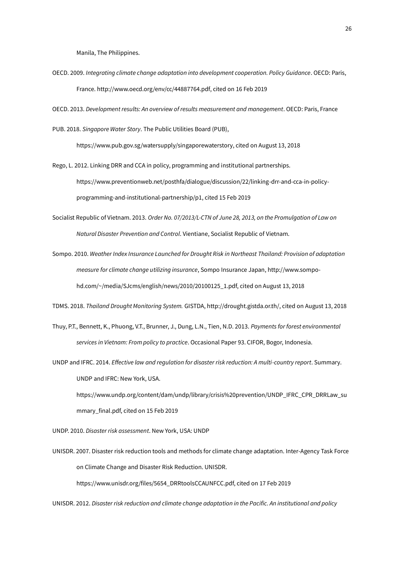Manila, The Philippines.

- OECD. 2009. *Integrating climate change adaptation into development cooperation. Policy Guidance*. OECD: Paris, France[. http://www.oecd.org/env/cc/44887764.pdf,](http://www.oecd.org/env/cc/44887764.pdf) cited on 16 Feb 2019
- OECD. 2013. *Development results: An overview of results measurement and management*. OECD: Paris, France
- PUB. 2018. *Singapore Water Story*. The Public Utilities Board (PUB),

[https://www.pub.gov.sg/watersupply/singaporewaterstory,](https://www.pub.gov.sg/watersupply/singaporewaterstory) cited on August 13, 2018

Rego, L. 2012. Linking DRR and CCA in policy, programming and institutional partnerships. [https://www.preventionweb.net/posthfa/dialogue/discussion/22/linking-drr-and-cca-in-policy](https://www.preventionweb.net/posthfa/dialogue/discussion/22/linking-drr-and-cca-in-policy-programming-and-institutional-partnership/p1)[programming-and-institutional-partnership/p1,](https://www.preventionweb.net/posthfa/dialogue/discussion/22/linking-drr-and-cca-in-policy-programming-and-institutional-partnership/p1) cited 15 Feb 2019

- Socialist Republic of Vietnam. 2013. *Order No. 07/2013/L-CTN of June 28, 2013, on the Promulgation of Law on Natural Disaster Prevention and Control*. Vientiane, Socialist Republic of Vietnam.
- Sompo. 2010. *Weather Index Insurance Launched for Drought Risk in Northeast Thailand: Provision of adaptation measure for climate change utilizing insurance*, Sompo Insurance Japan[, http://www.sompo](http://www.sompo-hd.com/~/media/SJcms/english/news/2010/20100125_1.pdf)[hd.com/~/media/SJcms/english/news/2010/20100125\\_1.pdf,](http://www.sompo-hd.com/~/media/SJcms/english/news/2010/20100125_1.pdf) cited on August 13, 2018

TDMS. 2018. *Thailand Drought Monitoring System.* GISTDA, [http://drought.gistda.or.th/,](http://drought.gistda.or.th/) cited on August 13, 2018

- Thuy, P.T., Bennett, K., Phuong, V.T., Brunner, J., Dung, L.N., Tien, N.D. 2013. *Payments for forest environmental services in Vietnam: From policy to practice*. Occasional Paper 93. CIFOR, Bogor, Indonesia.
- UNDP and IFRC. 2014. *Effective law and regulation for disaster risk reduction: A multi-country report*. Summary. UNDP and IFRC: New York, USA.

[https://www.undp.org/content/dam/undp/library/crisis%20prevention/UNDP\\_IFRC\\_CPR\\_DRRLaw\\_su](https://www.undp.org/content/dam/undp/library/crisis%20prevention/UNDP_IFRC_CPR_DRRLaw_summary_final.pdf) [mmary\\_final.pdf,](https://www.undp.org/content/dam/undp/library/crisis%20prevention/UNDP_IFRC_CPR_DRRLaw_summary_final.pdf) cited on 15 Feb 2019

UNDP. 2010. *Disaster risk assessment*. New York, USA: UNDP

UNISDR. 2007. Disaster risk reduction tools and methods for climate change adaptation. Inter-Agency Task Force on Climate Change and Disaster Risk Reduction. UNISDR.

[https://www.unisdr.org/files/5654\\_DRRtoolsCCAUNFCC.pdf,](https://www.unisdr.org/files/5654_DRRtoolsCCAUNFCC.pdf) cited on 17 Feb 2019

UNISDR. 2012. *Disaster risk reduction and climate change adaptation in the Pacific. An institutional and policy*